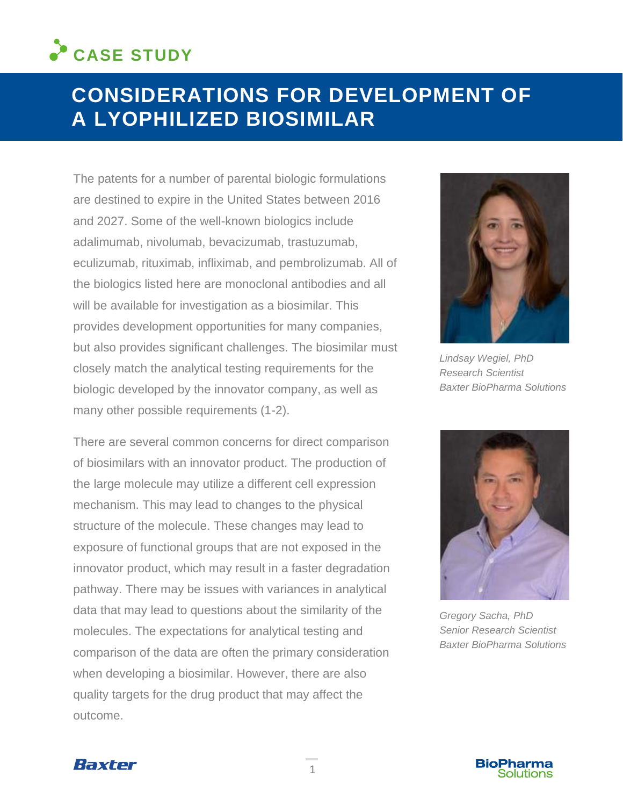# **CASE STUDY**

# **CONSIDERATIONS FOR DEVELOPMENT OF A LYOPHILIZED BIOSIMILAR**

The patents for a number of parental biologic formulations are destined to expire in the United States between 2016 and 2027. Some of the well-known biologics include adalimumab, nivolumab, bevacizumab, trastuzumab, eculizumab, rituximab, infliximab, and pembrolizumab. All of the biologics listed here are monoclonal antibodies and all will be available for investigation as a biosimilar. This provides development opportunities for many companies, but also provides significant challenges. The biosimilar must closely match the analytical testing requirements for the biologic developed by the innovator company, as well as many other possible requirements (1-2).

There are several common concerns for direct comparison of biosimilars with an innovator product. The production of the large molecule may utilize a different cell expression mechanism. This may lead to changes to the physical structure of the molecule. These changes may lead to exposure of functional groups that are not exposed in the innovator product, which may result in a faster degradation pathway. There may be issues with variances in analytical data that may lead to questions about the similarity of the molecules. The expectations for analytical testing and comparison of the data are often the primary consideration when developing a biosimilar. However, there are also quality targets for the drug product that may affect the outcome.



*Lindsay Wegiel, PhD Research Scientist Baxter BioPharma Solutions*



*Gregory Sacha, PhD Senior Research Scientist Baxter BioPharma Solutions*



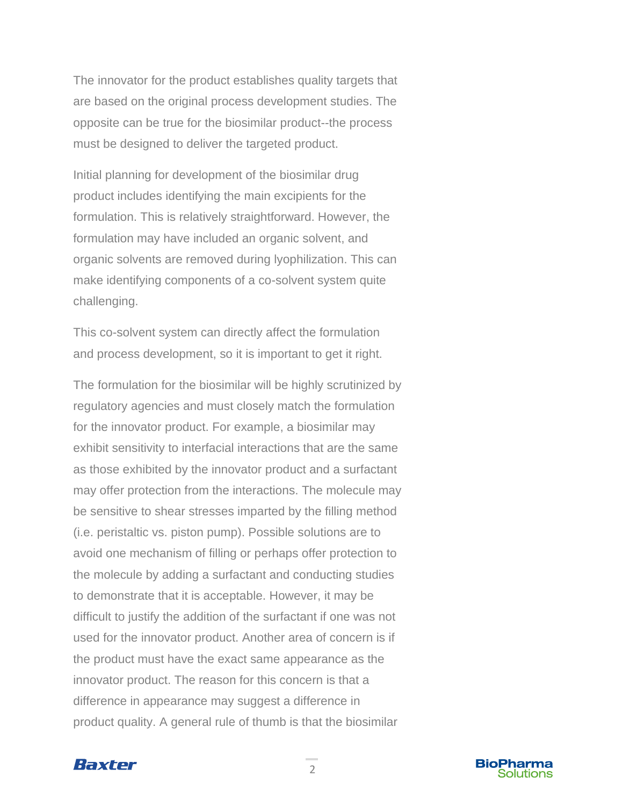The innovator for the product establishes quality targets that are based on the original process development studies. The opposite can be true for the biosimilar product--the process must be designed to deliver the targeted product.

Initial planning for development of the biosimilar drug product includes identifying the main excipients for the formulation. This is relatively straightforward. However, the formulation may have included an organic solvent, and organic solvents are removed during lyophilization. This can make identifying components of a co-solvent system quite challenging.

This co-solvent system can directly affect the formulation and process development, so it is important to get it right.

The formulation for the biosimilar will be highly scrutinized by regulatory agencies and must closely match the formulation for the innovator product. For example, a biosimilar may exhibit sensitivity to interfacial interactions that are the same as those exhibited by the innovator product and a surfactant may offer protection from the interactions. The molecule may be sensitive to shear stresses imparted by the filling method (i.e. peristaltic vs. piston pump). Possible solutions are to avoid one mechanism of filling or perhaps offer protection to the molecule by adding a surfactant and conducting studies to demonstrate that it is acceptable. However, it may be difficult to justify the addition of the surfactant if one was not used for the innovator product. Another area of concern is if the product must have the exact same appearance as the innovator product. The reason for this concern is that a difference in appearance may suggest a difference in product quality. A general rule of thumb is that the biosimilar



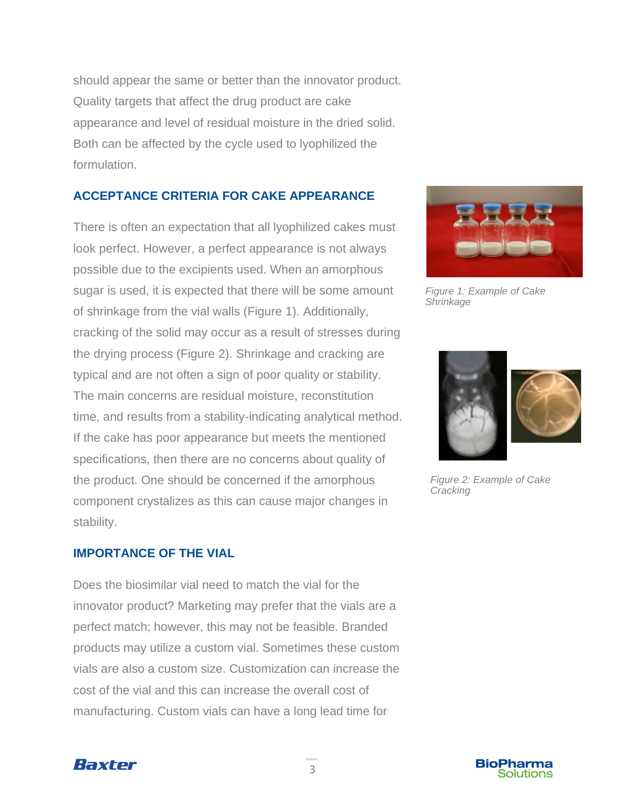should appear the same or better than the innovator product. Quality targets that affect the drug product are cake appearance and level of residual moisture in the dried solid. Both can be affected by the cycle used to lyophilized the formulation.

## **ACCEPTANCE CRITERIA FOR CAKE APPEARANCE**

There is often an expectation that all lyophilized cakes must look perfect. However, a perfect appearance is not always possible due to the excipients used. When an amorphous sugar is used, it is expected that there will be some amount of shrinkage from the vial walls (Figure 1). Additionally, cracking of the solid may occur as a result of stresses during the drying process (Figure 2). Shrinkage and cracking are typical and are not often a sign of poor quality or stability. The main concerns are residual moisture, reconstitution time, and results from a stability-indicating analytical method. If the cake has poor appearance but meets the mentioned specifications, then there are no concerns about quality of the product. One should be concerned if the amorphous component crystalizes as this can cause major changes in stability.

#### **IMPORTANCE OF THE VIAL**

Does the biosimilar vial need to match the vial for the innovator product? Marketing may prefer that the vials are a perfect match; however, this may not be feasible. Branded products may utilize a custom vial. Sometimes these custom vials are also a custom size. Customization can increase the cost of the vial and this can increase the overall cost of manufacturing. Custom vials can have a long lead time for



*Figure 1: Example of Cake Shrinkage*



*Figure 2: Example of Cake Cracking*



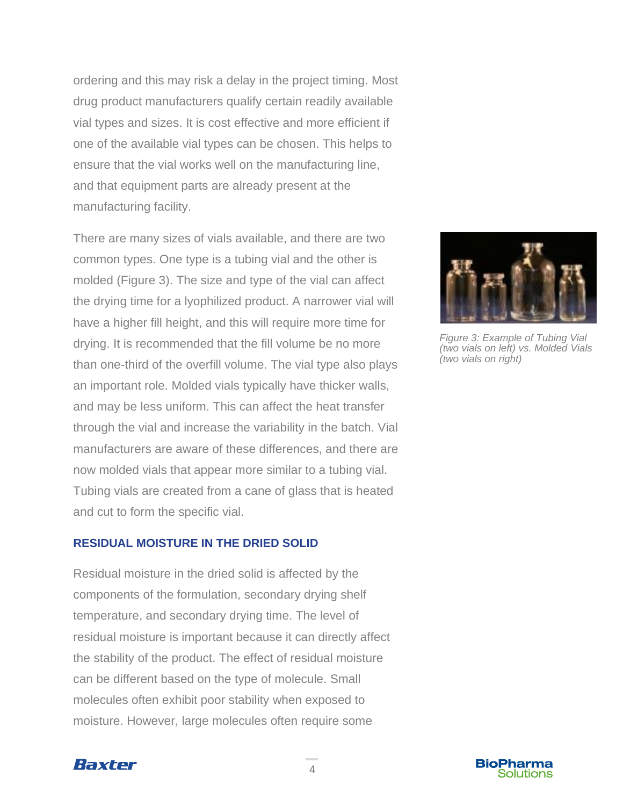ordering and this may risk a delay in the project timing. Most drug product manufacturers qualify certain readily available vial types and sizes. It is cost effective and more efficient if one of the available vial types can be chosen. This helps to ensure that the vial works well on the manufacturing line, and that equipment parts are already present at the manufacturing facility.

There are many sizes of vials available, and there are two common types. One type is a tubing vial and the other is molded (Figure 3). The size and type of the vial can affect the drying time for a lyophilized product. A narrower vial will have a higher fill height, and this will require more time for drying. It is recommended that the fill volume be no more than one-third of the overfill volume. The vial type also plays an important role. Molded vials typically have thicker walls, and may be less uniform. This can affect the heat transfer through the vial and increase the variability in the batch. Vial manufacturers are aware of these differences, and there are now molded vials that appear more similar to a tubing vial. Tubing vials are created from a cane of glass that is heated and cut to form the specific vial.

#### **RESIDUAL MOISTURE IN THE DRIED SOLID**

Residual moisture in the dried solid is affected by the components of the formulation, secondary drying shelf temperature, and secondary drying time. The level of residual moisture is important because it can directly affect the stability of the product. The effect of residual moisture can be different based on the type of molecule. Small molecules often exhibit poor stability when exposed to moisture. However, large molecules often require some



*Figure 3: Example of Tubing Vial (two vials on left) vs. Molded Vials (two vials on right)*



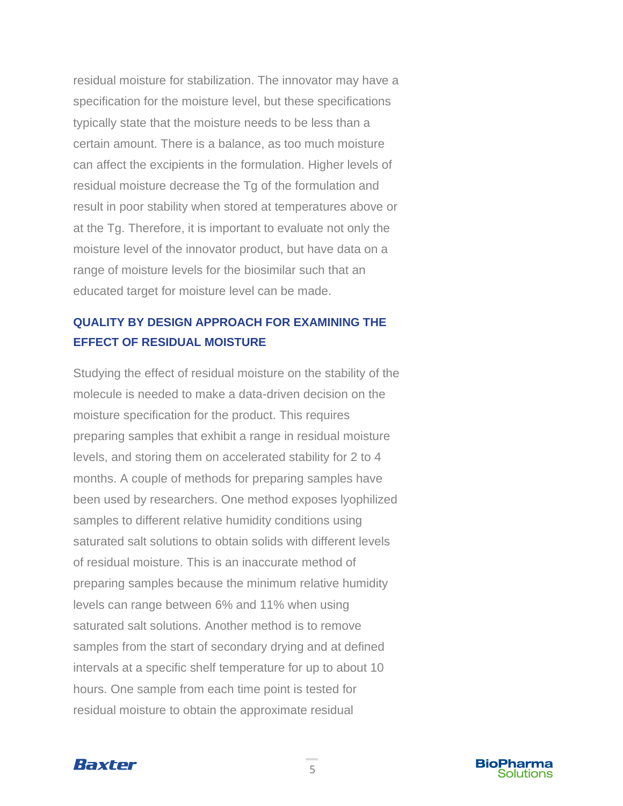residual moisture for stabilization. The innovator may have a specification for the moisture level, but these specifications typically state that the moisture needs to be less than a certain amount. There is a balance, as too much moisture can affect the excipients in the formulation. Higher levels of residual moisture decrease the Tg of the formulation and result in poor stability when stored at temperatures above or at the Tg. Therefore, it is important to evaluate not only the moisture level of the innovator product, but have data on a range of moisture levels for the biosimilar such that an educated target for moisture level can be made.

# **QUALITY BY DESIGN APPROACH FOR EXAMINING THE EFFECT OF RESIDUAL MOISTURE**

Studying the effect of residual moisture on the stability of the molecule is needed to make a data-driven decision on the moisture specification for the product. This requires preparing samples that exhibit a range in residual moisture levels, and storing them on accelerated stability for 2 to 4 months. A couple of methods for preparing samples have been used by researchers. One method exposes lyophilized samples to different relative humidity conditions using saturated salt solutions to obtain solids with different levels of residual moisture. This is an inaccurate method of preparing samples because the minimum relative humidity levels can range between 6% and 11% when using saturated salt solutions. Another method is to remove samples from the start of secondary drying and at defined intervals at a specific shelf temperature for up to about 10 hours. One sample from each time point is tested for residual moisture to obtain the approximate residual



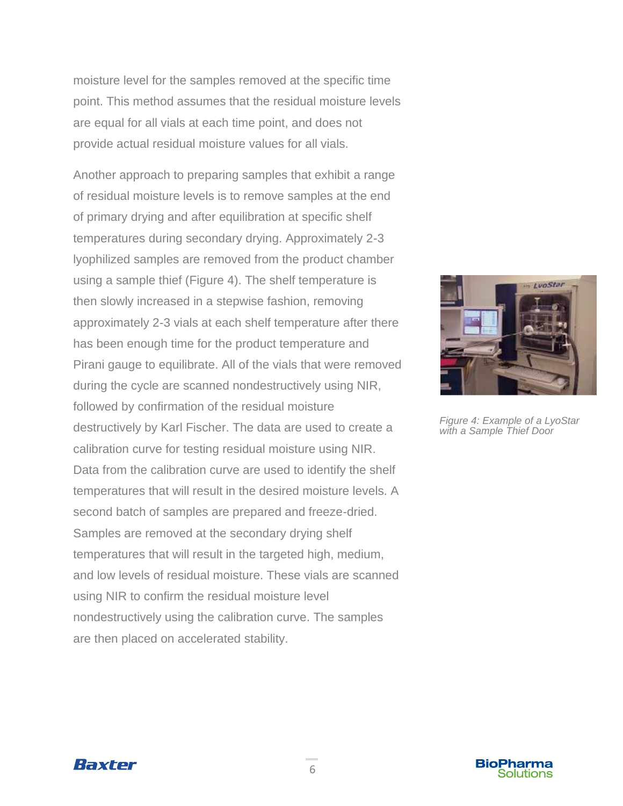moisture level for the samples removed at the specific time point. This method assumes that the residual moisture levels are equal for all vials at each time point, and does not provide actual residual moisture values for all vials.

Another approach to preparing samples that exhibit a range of residual moisture levels is to remove samples at the end of primary drying and after equilibration at specific shelf temperatures during secondary drying. Approximately 2-3 lyophilized samples are removed from the product chamber using a sample thief (Figure 4). The shelf temperature is then slowly increased in a stepwise fashion, removing approximately 2-3 vials at each shelf temperature after there has been enough time for the product temperature and Pirani gauge to equilibrate. All of the vials that were removed during the cycle are scanned nondestructively using NIR, followed by confirmation of the residual moisture destructively by Karl Fischer. The data are used to create a calibration curve for testing residual moisture using NIR. Data from the calibration curve are used to identify the shelf temperatures that will result in the desired moisture levels. A second batch of samples are prepared and freeze-dried. Samples are removed at the secondary drying shelf temperatures that will result in the targeted high, medium, and low levels of residual moisture. These vials are scanned using NIR to confirm the residual moisture level nondestructively using the calibration curve. The samples are then placed on accelerated stability.



*Figure 4: Example of a LyoStar with a Sample Thief Door*



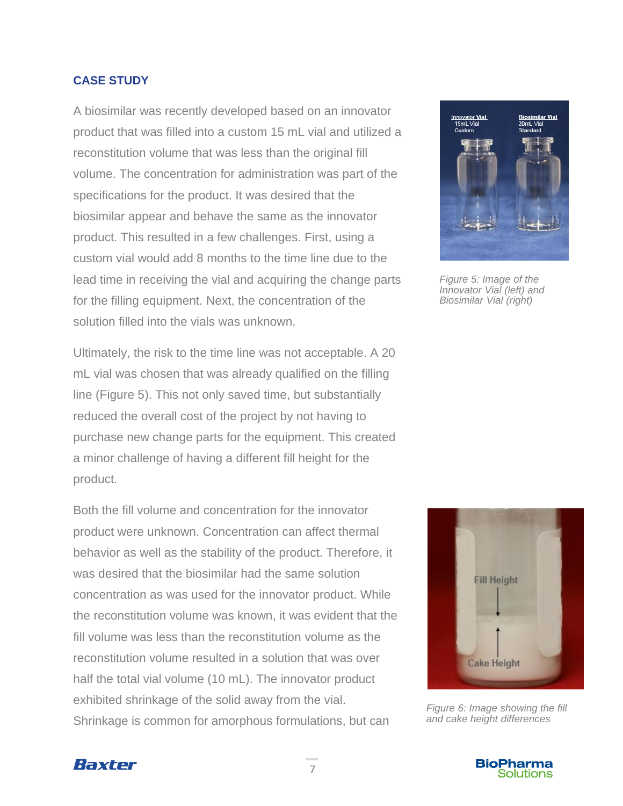#### **CASE STUDY**

A biosimilar was recently developed based on an innovator product that was filled into a custom 15 mL vial and utilized a reconstitution volume that was less than the original fill volume. The concentration for administration was part of the specifications for the product. It was desired that the biosimilar appear and behave the same as the innovator product. This resulted in a few challenges. First, using a custom vial would add 8 months to the time line due to the lead time in receiving the vial and acquiring the change parts for the filling equipment. Next, the concentration of the solution filled into the vials was unknown.

Ultimately, the risk to the time line was not acceptable. A 20 mL vial was chosen that was already qualified on the filling line (Figure 5). This not only saved time, but substantially reduced the overall cost of the project by not having to purchase new change parts for the equipment. This created a minor challenge of having a different fill height for the product.

Both the fill volume and concentration for the innovator product were unknown. Concentration can affect thermal behavior as well as the stability of the product. Therefore, it was desired that the biosimilar had the same solution concentration as was used for the innovator product. While the reconstitution volume was known, it was evident that the fill volume was less than the reconstitution volume as the reconstitution volume resulted in a solution that was over half the total vial volume (10 mL). The innovator product exhibited shrinkage of the solid away from the vial. Shrinkage is common for amorphous formulations, but can



*Figure 5: Image of the Innovator Vial (left) and Biosimilar Vial (right)*



*Figure 6: Image showing the fill and cake height differences*



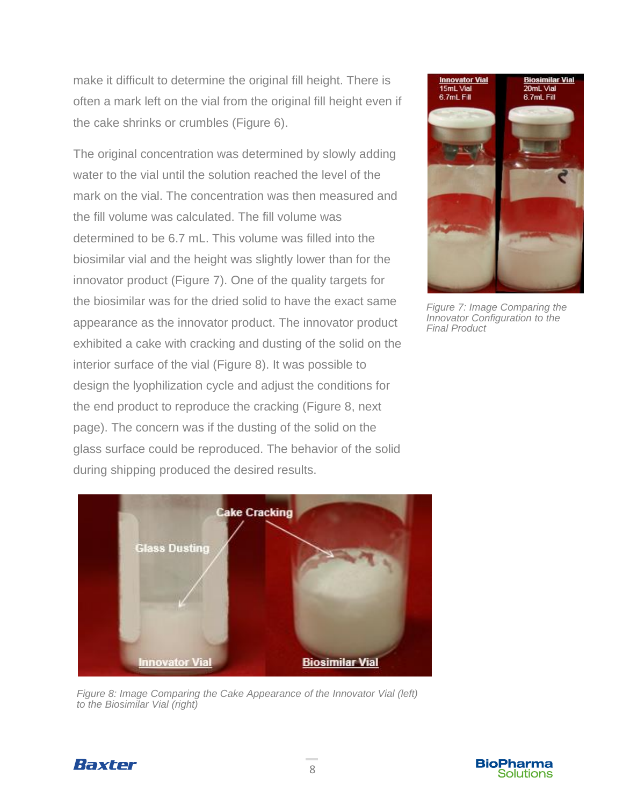make it difficult to determine the original fill height. There is often a mark left on the vial from the original fill height even if the cake shrinks or crumbles (Figure 6).

The original concentration was determined by slowly adding water to the vial until the solution reached the level of the mark on the vial. The concentration was then measured and the fill volume was calculated. The fill volume was determined to be 6.7 mL. This volume was filled into the biosimilar vial and the height was slightly lower than for the innovator product (Figure 7). One of the quality targets for the biosimilar was for the dried solid to have the exact same appearance as the innovator product. The innovator product exhibited a cake with cracking and dusting of the solid on the interior surface of the vial (Figure 8). It was possible to design the lyophilization cycle and adjust the conditions for the end product to reproduce the cracking (Figure 8, next page). The concern was if the dusting of the solid on the glass surface could be reproduced. The behavior of the solid during shipping produced the desired results.



*Figure 7: Image Comparing the Innovator Configuration to the Final Product*



*Figure 8: Image Comparing the Cake Appearance of the Innovator Vial (left) to the Biosimilar Vial (right)*

Baxter

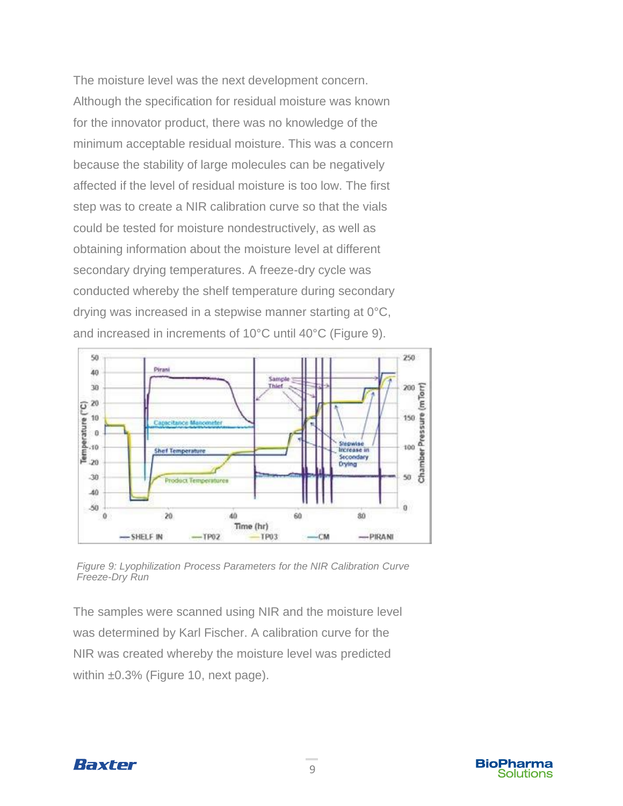The moisture level was the next development concern. Although the specification for residual moisture was known for the innovator product, there was no knowledge of the minimum acceptable residual moisture. This was a concern because the stability of large molecules can be negatively affected if the level of residual moisture is too low. The first step was to create a NIR calibration curve so that the vials could be tested for moisture nondestructively, as well as obtaining information about the moisture level at different secondary drying temperatures. A freeze-dry cycle was conducted whereby the shelf temperature during secondary drying was increased in a stepwise manner starting at 0°C, and increased in increments of 10°C until 40°C (Figure 9).



*Figure 9: Lyophilization Process Parameters for the NIR Calibration Curve Freeze-Dry Run*

The samples were scanned using NIR and the moisture level was determined by Karl Fischer. A calibration curve for the NIR was created whereby the moisture level was predicted within ±0.3% (Figure 10, next page).



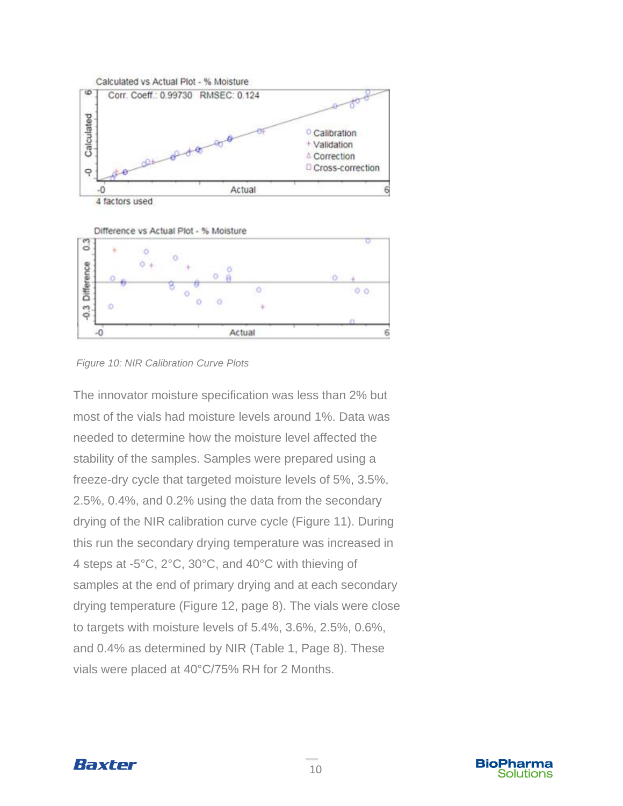

Difference vs Actual Plot - % Moisture





The innovator moisture specification was less than 2% but most of the vials had moisture levels around 1%. Data was needed to determine how the moisture level affected the stability of the samples. Samples were prepared using a freeze-dry cycle that targeted moisture levels of 5%, 3.5%, 2.5%, 0.4%, and 0.2% using the data from the secondary drying of the NIR calibration curve cycle (Figure 11). During this run the secondary drying temperature was increased in 4 steps at -5°C, 2°C, 30°C, and 40°C with thieving of samples at the end of primary drying and at each secondary drying temperature (Figure 12, page 8). The vials were close to targets with moisture levels of 5.4%, 3.6%, 2.5%, 0.6%, and 0.4% as determined by NIR (Table 1, Page 8). These vials were placed at 40°C/75% RH for 2 Months.

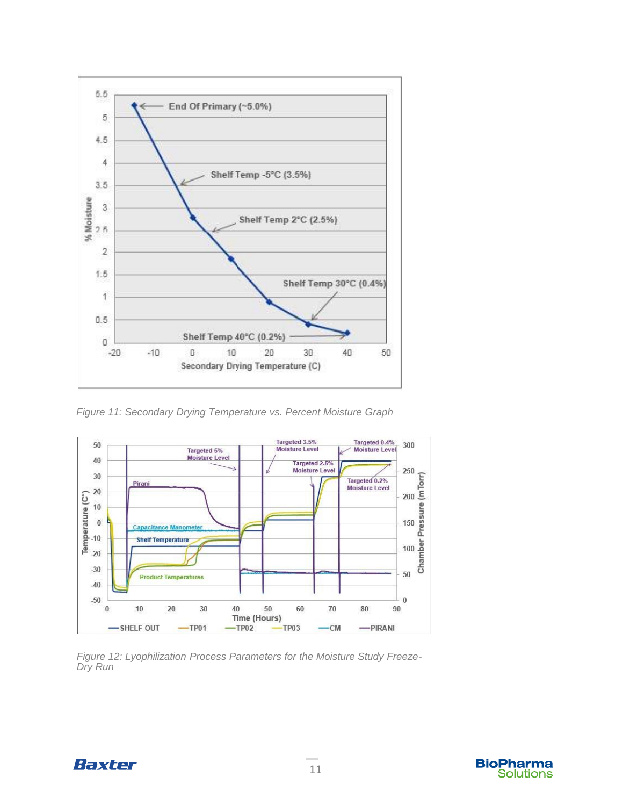

*Figure 11: Secondary Drying Temperature vs. Percent Moisture Graph*



*Figure 12: Lyophilization Process Parameters for the Moisture Study Freeze-Dry Run*



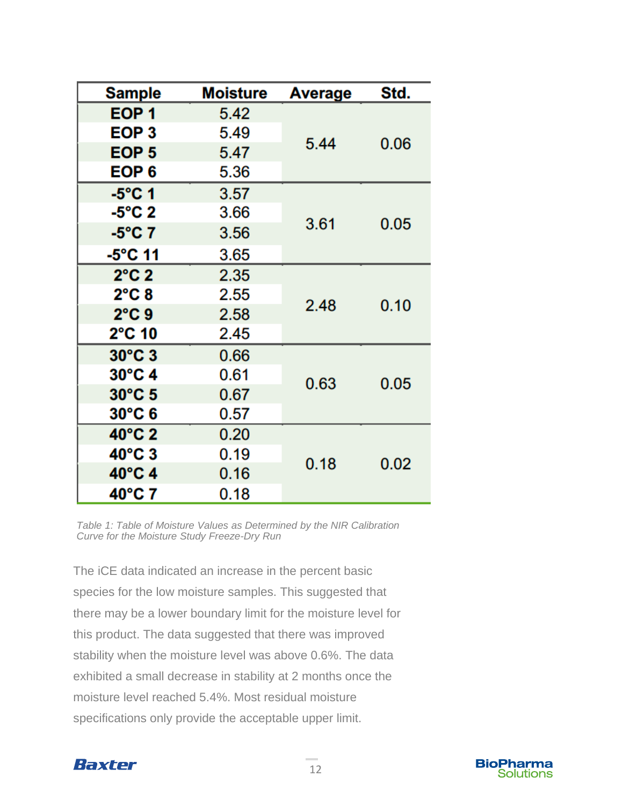| Sample           | Moisture | <b>Average</b> | Std. |
|------------------|----------|----------------|------|
| EOP <sub>1</sub> | 5.42     | 5.44           | 0.06 |
| EOP <sub>3</sub> | 5.49     |                |      |
| EOP <sub>5</sub> | 5.47     |                |      |
| EOP <sub>6</sub> | 5.36     |                |      |
| $-5^{\circ}$ C 1 | 3.57     | 3.61           | 0.05 |
| $-5^{\circ}$ C 2 | 3.66     |                |      |
| $-5^{\circ}$ C 7 | 3.56     |                |      |
| -5°C 11          | 3.65     |                |      |
| $2^{\circ}$ C 2  | 2.35     | 2.48           | 0.10 |
| $2^{\circ}$ C 8  | 2.55     |                |      |
| $2^{\circ}$ C 9  | 2.58     |                |      |
| $2^{\circ}$ C 10 | 2.45     |                |      |
| $30^{\circ}$ C 3 | 0.66     | 0.63           | 0.05 |
| $30^{\circ}$ C 4 | 0.61     |                |      |
| 30°C 5           | 0.67     |                |      |
| $30^{\circ}$ C 6 | 0.57     |                |      |
| 40°C 2           | 0.20     | 0.18           | 0.02 |
| $40^{\circ}$ C 3 | 0.19     |                |      |
| 40°C 4           | 0.16     |                |      |
| 40°C 7           | 0.18     |                |      |

*Table 1: Table of Moisture Values as Determined by the NIR Calibration Curve for the Moisture Study Freeze-Dry Run*

The iCE data indicated an increase in the percent basic species for the low moisture samples. This suggested that there may be a lower boundary limit for the moisture level for this product. The data suggested that there was improved stability when the moisture level was above 0.6%. The data exhibited a small decrease in stability at 2 months once the moisture level reached 5.4%. Most residual moisture specifications only provide the acceptable upper limit.



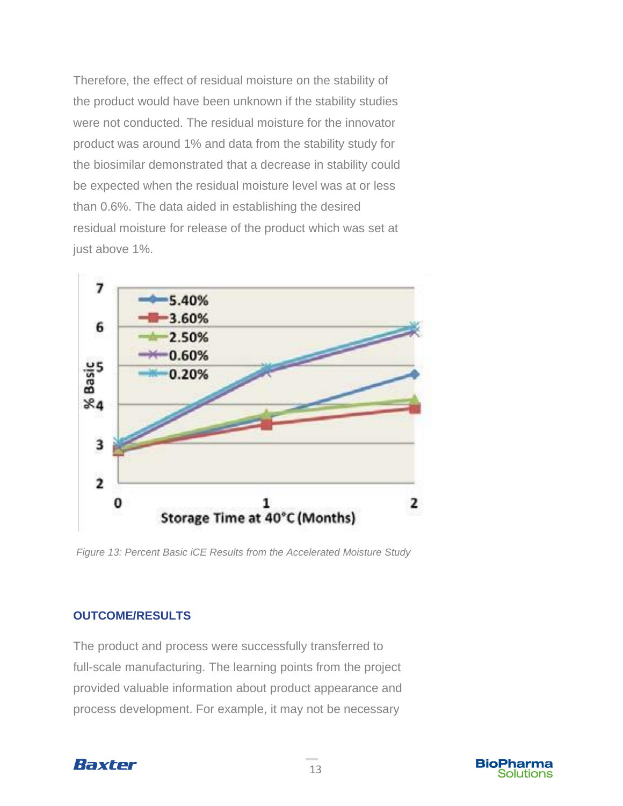Therefore, the effect of residual moisture on the stability of the product would have been unknown if the stability studies were not conducted. The residual moisture for the innovator product was around 1% and data from the stability study for the biosimilar demonstrated that a decrease in stability could be expected when the residual moisture level was at or less than 0.6%. The data aided in establishing the desired residual moisture for release of the product which was set at just above 1%.



*Figure 13: Percent Basic iCE Results from the Accelerated Moisture Study*

### **OUTCOME/RESULTS**

The product and process were successfully transferred to full-scale manufacturing. The learning points from the project provided valuable information about product appearance and process development. For example, it may not be necessary